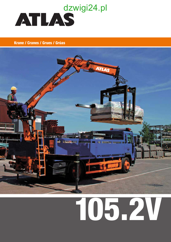

## **Krane / Cranes / Grues / Grúas**



# 105.2V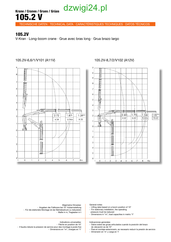# dzwigi24.pl

Krane / Cranes / Grues / Grúas 105.2 V

TECHNISCHE DATEN · TECHNICAL DATA · CARACTÉRISTIQUES TECHNIQUES · DATOS TÉCNICOS

## 105.2V

V-Kran . Long-boom crane . Grue avec bras long . Grua brazo largo



### 105.2V-6,6/1/V101 (A11V) 105.2V-8,7/2/V102 (A12V)



| Allgemeine Hinweise:<br>- Angaben der Faltkrane bei 10° Hubarmstellung<br>- Für die stationäre Montage ist der Betriebsdruck zu reduzieren<br>- Maße in m, Traglasten in t  | General notes:<br>- Lifting data based on a boom position of 10°<br>- For stationary installation, the operating<br>pressure must be reduced<br>- Dimensions in "m", load capacities in metric "t"                                        |  |  |
|-----------------------------------------------------------------------------------------------------------------------------------------------------------------------------|-------------------------------------------------------------------------------------------------------------------------------------------------------------------------------------------------------------------------------------------|--|--|
| Indications universelles:<br>- Flèche en position de 10°<br>- Il faudra réduire la pression de service pour des montage à poste fixe<br>- Dimensions en "m", charges en "t" | Indicaciones generales:<br>- Datos sobre las grúas articulados cuando la posición del brazo<br>de elevación es de 10°<br>- Para el montaje estacionario, es necesario reducir la presión de servicio<br>- Dimensión en 'm' y carga en 't' |  |  |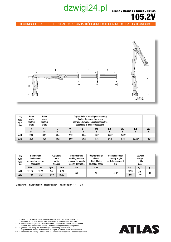## dzwigi24.pl

Krane / Cranes / Grues / Grúas 105.2V

TECHNISCHE DATEN · TECHNICAL DATA · CARACTÉRISTIQUES TECHNIQUES · DATOS TÉCNICOS



| Typ<br>type<br>type<br>tipo | Höhe<br>height<br>hauteur<br>altura | Höhe<br>height<br>hauteur<br>altura |      | Traglast bei der jeweiligen Ausladung<br>load at the respective reach<br>charge de levage à la portée respective<br>capacidad al alcance respectivo |      |                |         |                |          |                |
|-----------------------------|-------------------------------------|-------------------------------------|------|-----------------------------------------------------------------------------------------------------------------------------------------------------|------|----------------|---------|----------------|----------|----------------|
|                             | н                                   | H1                                  |      | W                                                                                                                                                   |      | W <sub>1</sub> | L2      | W <sub>2</sub> | L3       | W <sub>3</sub> |
|                             | m                                   | m                                   | m    |                                                                                                                                                     | m    |                | m       |                | m        |                |
| A11                         | 2,38                                | 3,37                                | 4,54 | 2,72                                                                                                                                                | 6,54 | 1,87           | $8.25*$ | $1,39*$        |          |                |
| A <sub>12</sub>             | 2,38                                | 3,28                                | 4,62 | 2,60                                                                                                                                                | 6,62 | 1,75           | 8,62    | 1,34           | $10,63*$ | 1,02*          |

| Typ<br>type<br>type<br>tipo | Hubmoment<br><b>loadmoment</b><br>moment de course<br>capacidad |       | Ausladung<br>reach<br>portée<br>alcance |       | <b>Betriebsdruck</b><br>working pressure<br>pression de marche<br>presion de trabajo | Ölfördermenge<br>oilflow<br>débit d'huile<br>caudal de aceite | Schwenkbereich<br>slewing angle<br>g. de basculement<br>giro | Gewicht<br>weight<br>poids<br>peso |         |        |
|-----------------------------|-----------------------------------------------------------------|-------|-----------------------------------------|-------|--------------------------------------------------------------------------------------|---------------------------------------------------------------|--------------------------------------------------------------|------------------------------------|---------|--------|
|                             | <b>kNm</b>                                                      | mt    | hydr.                                   | mech. | bar                                                                                  | l/min                                                         |                                                              | kg**                               | kg***   | kg**** |
| A11                         | 121.10                                                          | 12.35 | 6,61                                    | 8,61  | 270                                                                                  | 45                                                            | $410^\circ$                                                  | 1275                               | $215 -$ |        |
| A12                         | 17,80                                                           | 12,01 | 8,69                                    | 10,69 |                                                                                      |                                                               |                                                              | 1505                               | 290     | 80     |

Einstufung - classification - classification - clasificación = H1 - B3



- = Daten für die mechanische Verlängerung / data for the manual extension /
- = données techn. pour allonge méc. / detaillos para extensiones manuales \*\* = einfaches Grundgerät im Lasthakenbetrieb / simple basic unit for loadhook work /
- type de base simple avec crochet / maquina base para trabajo con gancho \*\*\* = je nach Ausführung der Abstützungen / depending on stabilizer /
- dépendant de modèle du stabilisateur / segun la version de los estabilizadores = Ölbehälter mit Füllung / oil tank with oil / reservoir avec contenu / deposito con aceite